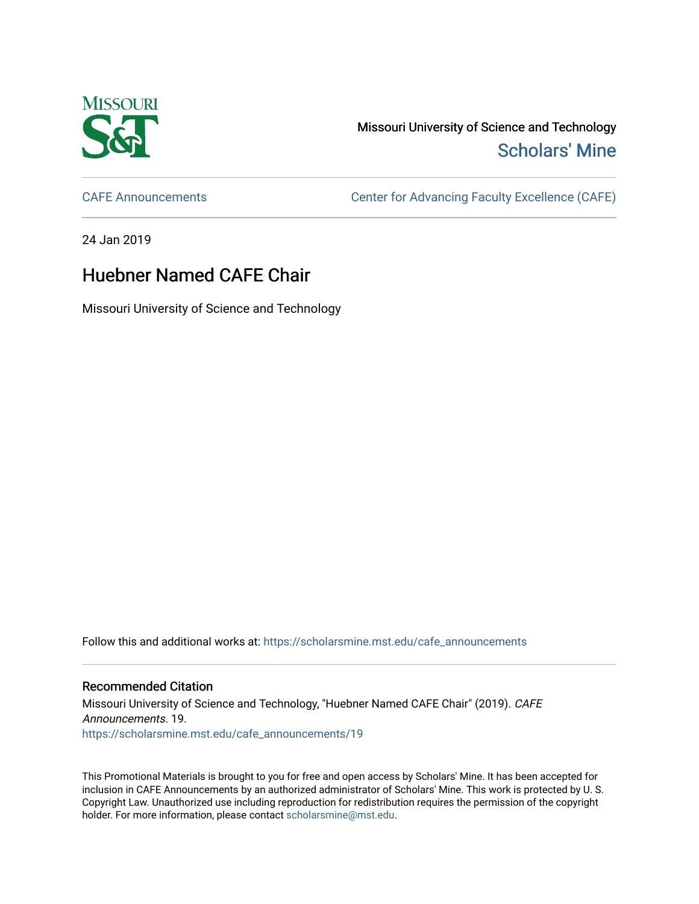

Missouri University of Science and Technology [Scholars' Mine](https://scholarsmine.mst.edu/) 

[CAFE Announcements](https://scholarsmine.mst.edu/cafe_announcements) [Center for Advancing Faculty Excellence \(CAFE\)](https://scholarsmine.mst.edu/cafe) 

24 Jan 2019

## Huebner Named CAFE Chair

Missouri University of Science and Technology

Follow this and additional works at: [https://scholarsmine.mst.edu/cafe\\_announcements](https://scholarsmine.mst.edu/cafe_announcements?utm_source=scholarsmine.mst.edu%2Fcafe_announcements%2F19&utm_medium=PDF&utm_campaign=PDFCoverPages) 

## Recommended Citation

Missouri University of Science and Technology, "Huebner Named CAFE Chair" (2019). CAFE Announcements. 19. [https://scholarsmine.mst.edu/cafe\\_announcements/19](https://scholarsmine.mst.edu/cafe_announcements/19?utm_source=scholarsmine.mst.edu%2Fcafe_announcements%2F19&utm_medium=PDF&utm_campaign=PDFCoverPages)

This Promotional Materials is brought to you for free and open access by Scholars' Mine. It has been accepted for inclusion in CAFE Announcements by an authorized administrator of Scholars' Mine. This work is protected by U. S. Copyright Law. Unauthorized use including reproduction for redistribution requires the permission of the copyright holder. For more information, please contact [scholarsmine@mst.edu.](mailto:scholarsmine@mst.edu)